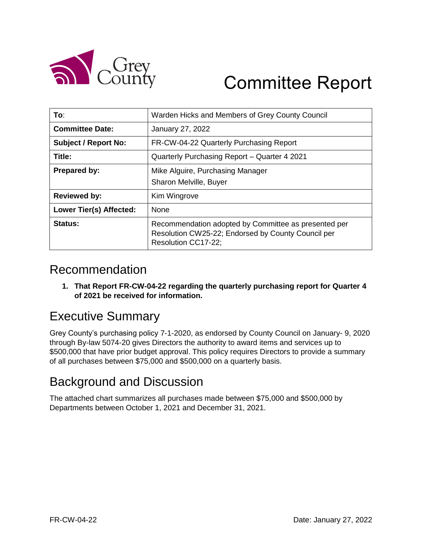

# Committee Report

| To:                         | Warden Hicks and Members of Grey County Council                                                                                   |  |  |  |  |
|-----------------------------|-----------------------------------------------------------------------------------------------------------------------------------|--|--|--|--|
| <b>Committee Date:</b>      | January 27, 2022                                                                                                                  |  |  |  |  |
| <b>Subject / Report No:</b> | FR-CW-04-22 Quarterly Purchasing Report                                                                                           |  |  |  |  |
| Title:                      | Quarterly Purchasing Report – Quarter 4 2021                                                                                      |  |  |  |  |
| <b>Prepared by:</b>         | Mike Alguire, Purchasing Manager                                                                                                  |  |  |  |  |
|                             | Sharon Melville, Buyer                                                                                                            |  |  |  |  |
| <b>Reviewed by:</b>         | Kim Wingrove                                                                                                                      |  |  |  |  |
| Lower Tier(s) Affected:     | None                                                                                                                              |  |  |  |  |
| Status:                     | Recommendation adopted by Committee as presented per<br>Resolution CW25-22; Endorsed by County Council per<br>Resolution CC17-22; |  |  |  |  |

## Recommendation

**1. That Report FR-CW-04-22 regarding the quarterly purchasing report for Quarter 4 of 2021 be received for information.**

# Executive Summary

Grey County's purchasing policy 7-1-2020, as endorsed by County Council on January- 9, 2020 through By-law 5074-20 gives Directors the authority to award items and services up to \$500,000 that have prior budget approval. This policy requires Directors to provide a summary of all purchases between \$75,000 and \$500,000 on a quarterly basis.

# Background and Discussion

The attached chart summarizes all purchases made between \$75,000 and \$500,000 by Departments between October 1, 2021 and December 31, 2021.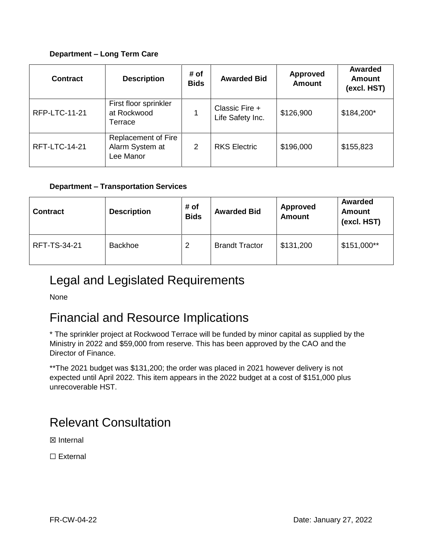#### **Department – Long Term Care**

| <b>Contract</b>      | <b>Description</b>                                  | # of<br><b>Bids</b> | <b>Awarded Bid</b>                 | <b>Approved</b><br><b>Amount</b> | Awarded<br><b>Amount</b><br>(excl. HST) |
|----------------------|-----------------------------------------------------|---------------------|------------------------------------|----------------------------------|-----------------------------------------|
| <b>RFP-LTC-11-21</b> | First floor sprinkler<br>at Rockwood<br>Terrace     |                     | Classic Fire +<br>Life Safety Inc. | \$126,900                        | \$184,200*                              |
| <b>RFT-LTC-14-21</b> | Replacement of Fire<br>Alarm System at<br>Lee Manor | 2                   | <b>RKS Electric</b>                | \$196,000                        | \$155,823                               |

#### **Department – Transportation Services**

| <b>Contract</b> | <b>Description</b> | # of<br><b>Bids</b> | <b>Awarded Bid</b>    | <b>Approved</b><br><b>Amount</b> | Awarded<br>Amount<br>(excl. HST) |
|-----------------|--------------------|---------------------|-----------------------|----------------------------------|----------------------------------|
| RFT-TS-34-21    | <b>Backhoe</b>     | 2                   | <b>Brandt Tractor</b> | \$131,200                        | $$151,000**$                     |

### Legal and Legislated Requirements

None

## Financial and Resource Implications

\* The sprinkler project at Rockwood Terrace will be funded by minor capital as supplied by the Ministry in 2022 and \$59,000 from reserve. This has been approved by the CAO and the Director of Finance.

\*\*The 2021 budget was \$131,200; the order was placed in 2021 however delivery is not expected until April 2022. This item appears in the 2022 budget at a cost of \$151,000 plus unrecoverable HST.

### Relevant Consultation

☒ Internal

☐ External